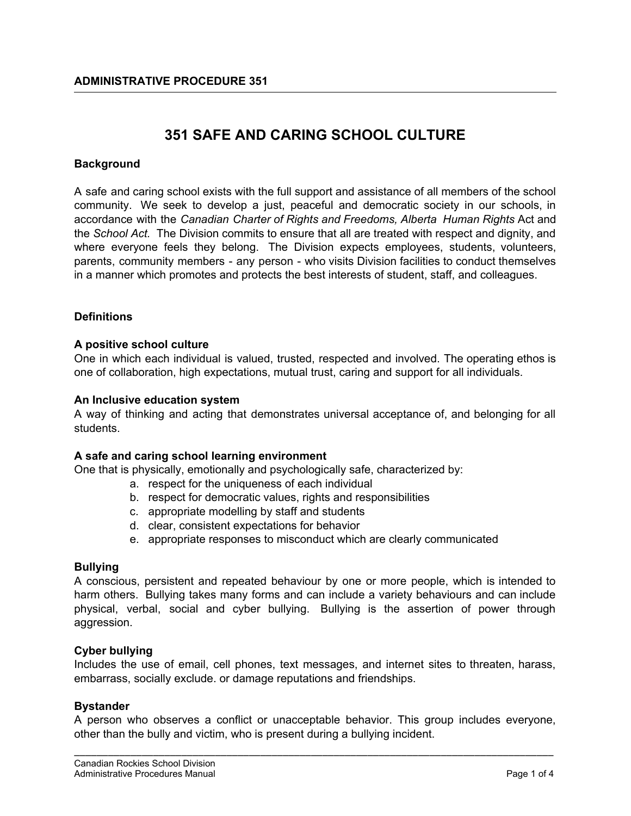# **351 SAFE AND CARING SCHOOL CULTURE**

## **Background**

A safe and caring school exists with the full support and assistance of all members of the school community. We seek to develop a just, peaceful and democratic society in our schools, in accordance with the *Canadian Charter of Rights and Freedoms, Alberta Human Rights* Act and the *School Act.* The Division commits to ensure that all are treated with respect and dignity, and where everyone feels they belong. The Division expects employees, students, volunteers, parents, community members - any person - who visits Division facilities to conduct themselves in a manner which promotes and protects the best interests of student, staff, and colleagues.

## **Definitions**

## **A positive school culture**

One in which each individual is valued, trusted, respected and involved. The operating ethos is one of collaboration, high expectations, mutual trust, caring and support for all individuals.

## **An Inclusive education system**

A way of thinking and acting that demonstrates universal acceptance of, and belonging for all students.

### **A safe and caring school learning environment**

One that is physically, emotionally and psychologically safe, characterized by:

- a. respect for the uniqueness of each individual
- b. respect for democratic values, rights and responsibilities
- c. appropriate modelling by staff and students
- d. clear, consistent expectations for behavior
- e. appropriate responses to misconduct which are clearly communicated

### **Bullying**

A conscious, persistent and repeated behaviour by one or more people, which is intended to harm others. Bullying takes many forms and can include a variety behaviours and can include physical, verbal, social and cyber bullying. Bullying is the assertion of power through aggression.

### **Cyber bullying**

Includes the use of email, cell phones, text messages, and internet sites to threaten, harass, embarrass, socially exclude. or damage reputations and friendships.

### **Bystander**

A person who observes a conflict or unacceptable behavior. This group includes everyone, other than the bully and victim, who is present during a bullying incident.

\_\_\_\_\_\_\_\_\_\_\_\_\_\_\_\_\_\_\_\_\_\_\_\_\_\_\_\_\_\_\_\_\_\_\_\_\_\_\_\_\_\_\_\_\_\_\_\_\_\_\_\_\_\_\_\_\_\_\_\_\_\_\_\_\_\_\_\_\_\_\_\_\_\_\_\_\_\_\_\_\_\_\_\_\_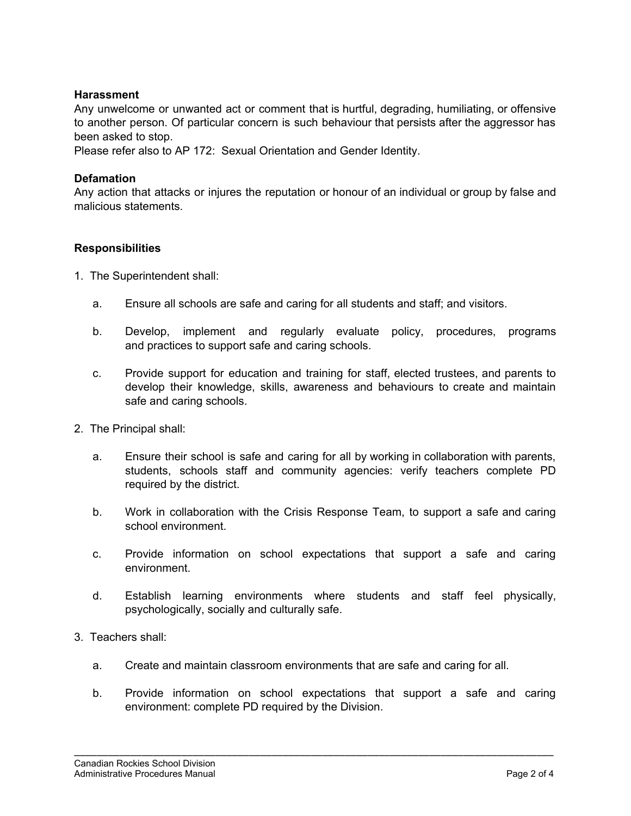## **Harassment**

Any unwelcome or unwanted act or comment that is hurtful, degrading, humiliating, or offensive to another person. Of particular concern is such behaviour that persists after the aggressor has been asked to stop.

Please refer also to AP 172: Sexual Orientation and Gender Identity.

## **Defamation**

Any action that attacks or injures the reputation or honour of an individual or group by false and malicious statements.

## **Responsibilities**

- 1. The Superintendent shall:
	- a. Ensure all schools are safe and caring for all students and staff; and visitors.
	- b. Develop, implement and regularly evaluate policy, procedures, programs and practices to support safe and caring schools.
	- c. Provide support for education and training for staff, elected trustees, and parents to develop their knowledge, skills, awareness and behaviours to create and maintain safe and caring schools.
- 2. The Principal shall:
	- a. Ensure their school is safe and caring for all by working in collaboration with parents, students, schools staff and community agencies: verify teachers complete PD required by the district.
	- b. Work in collaboration with the Crisis Response Team, to support a safe and caring school environment.
	- c. Provide information on school expectations that support a safe and caring environment.
	- d. Establish learning environments where students and staff feel physically, psychologically, socially and culturally safe.
- 3. Teachers shall:
	- a. Create and maintain classroom environments that are safe and caring for all.
	- b. Provide information on school expectations that support a safe and caring environment: complete PD required by the Division.

\_\_\_\_\_\_\_\_\_\_\_\_\_\_\_\_\_\_\_\_\_\_\_\_\_\_\_\_\_\_\_\_\_\_\_\_\_\_\_\_\_\_\_\_\_\_\_\_\_\_\_\_\_\_\_\_\_\_\_\_\_\_\_\_\_\_\_\_\_\_\_\_\_\_\_\_\_\_\_\_\_\_\_\_\_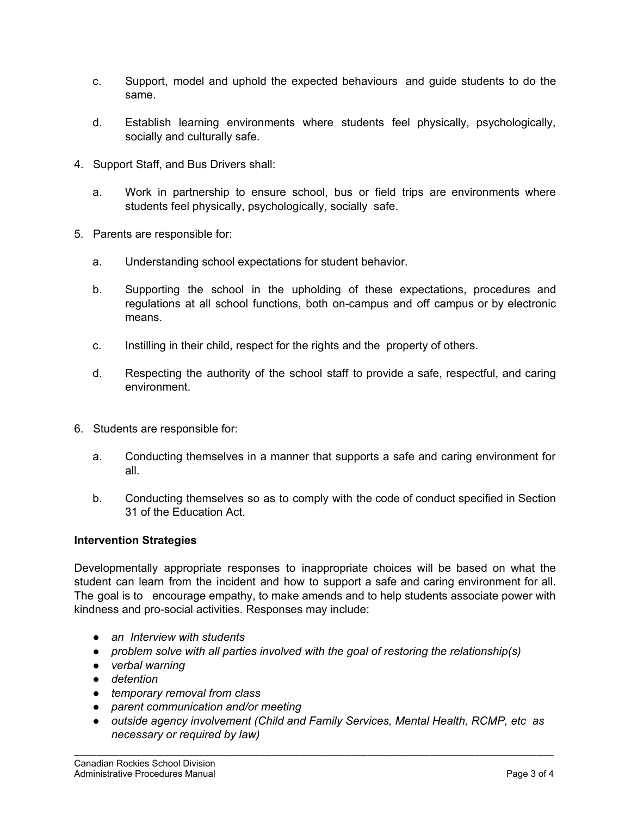- c. Support, model and uphold the expected behaviours and guide students to do the same.
- d. Establish learning environments where students feel physically, psychologically, socially and culturally safe.
- 4. Support Staff, and Bus Drivers shall:
	- a. Work in partnership to ensure school, bus or field trips are environments where students feel physically, psychologically, socially safe.
- 5. Parents are responsible for:
	- a. Understanding school expectations for student behavior.
	- b. Supporting the school in the upholding of these expectations, procedures and regulations at all school functions, both on-campus and off campus or by electronic means.
	- c. Instilling in their child, respect for the rights and the property of others.
	- d. Respecting the authority of the school staff to provide a safe, respectful, and caring environment.
- 6. Students are responsible for:
	- a. Conducting themselves in a manner that supports a safe and caring environment for all.
	- b. Conducting themselves so as to comply with the code of conduct specified in Section 31 of the Education Act.

## **Intervention Strategies**

Developmentally appropriate responses to inappropriate choices will be based on what the student can learn from the incident and how to support a safe and caring environment for all. The goal is to encourage empathy, to make amends and to help students associate power with kindness and pro-social activities. Responses may include:

- *● an Interview with students*
- *● problem solve with all parties involved with the goal of restoring the relationship(s)*
- *● verbal warning*
- *● detention*
- *● temporary removal from class*
- *● parent communication and/or meeting*
- *● outside agency involvement (Child and Family Services, Mental Health, RCMP, etc as necessary or required by law)*

\_\_\_\_\_\_\_\_\_\_\_\_\_\_\_\_\_\_\_\_\_\_\_\_\_\_\_\_\_\_\_\_\_\_\_\_\_\_\_\_\_\_\_\_\_\_\_\_\_\_\_\_\_\_\_\_\_\_\_\_\_\_\_\_\_\_\_\_\_\_\_\_\_\_\_\_\_\_\_\_\_\_\_\_\_